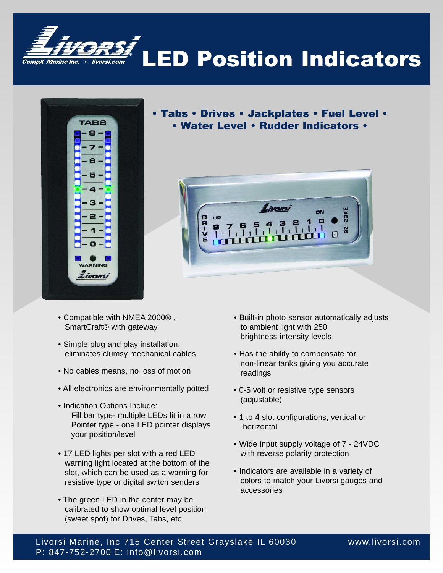



- Tabs Drives Jackplates Fuel Level • Water Level • Rudder Indicators •
	-



- Compatible with NMEA 2000® , SmartCraft® with gateway
- Simple plug and play installation, eliminates clumsy mechanical cables
- No cables means, no loss of motion
- All electronics are environmentally potted
- Indication Options Include: Fill bar type- multiple LEDs lit in a row Pointer type - one LED pointer displays your position/level
- 17 LED lights per slot with a red LED warning light located at the bottom of the slot, which can be used as a warning for resistive type or digital switch senders
- The green LED in the center may be calibrated to show optimal level position (sweet spot) for Drives, Tabs, etc
- Built-in photo sensor automatically adjusts to ambient light with 250 brightness intensity levels
- Has the ability to compensate for non-linear tanks giving you accurate readings
- 0-5 volt or resistive type sensors (adjustable)
- 1 to 4 slot configurations, vertical or horizontal
- Wide input supply voltage of 7 24VDC with reverse polarity protection
- Indicators are available in a variety of colors to match your Livorsi gauges and accessories

Livorsi Marine, Inc 715 Center Street Grayslake IL 60030 www.livorsi.com P: 847-752-2700 E: info@livorsi.com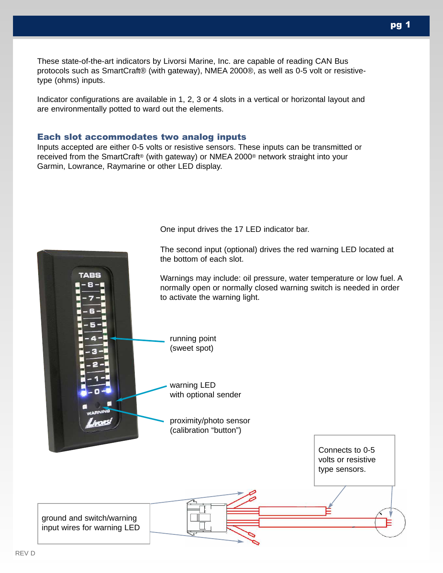These state-of-the-art indicators by Livorsi Marine, Inc. are capable of reading CAN Bus protocols such as SmartCraft® (with gateway), NMEA 2000®, as well as 0-5 volt or resistivetype (ohms) inputs.

Indicator configurations are available in 1, 2, 3 or 4 slots in a vertical or horizontal layout and are environmentally potted to ward out the elements.

### Each slot accommodates two analog inputs

Inputs accepted are either 0-5 volts or resistive sensors. These inputs can be transmitted or received from the SmartCraft® (with gateway) or NMEA 2000® network straight into your Garmin, Lowrance, Raymarine or other LED display.



One input drives the 17 LED indicator bar.

The second input (optional) drives the red warning LED located at

pg 1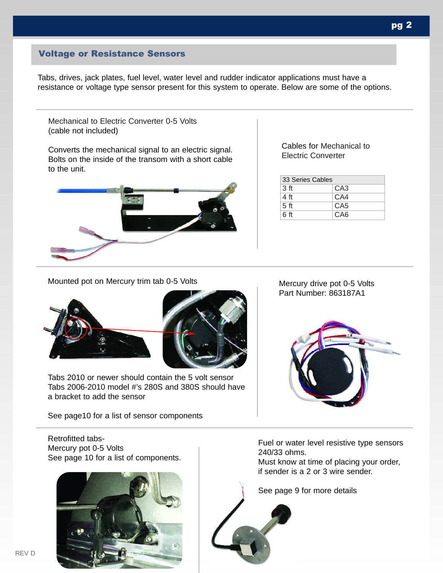## Voltage or Resistance Sensors

Tabs, drives, jack plates, fuel level, water level and rudder indicator applications must have a resistance or voltage type sensor present for this system to operate. Below are some of the options.

Mechanical to Electric Converter 0-5 Volts (cable not included)

Converts the mechanical signal to an electric signal. Bolts on the inside of the transom with a short cable to the unit.



Cables for Mechanical to Electric Converter

| 33 Series Cables |                 |  |  |
|------------------|-----------------|--|--|
| 3 <sub>ft</sub>  | CA <sub>3</sub> |  |  |
| 4 ft             | CA4             |  |  |
| 5 <sub>ft</sub>  | CA <sub>5</sub> |  |  |
| 6 ft             | CA <sub>6</sub> |  |  |

Mounted pot on Mercury trim tab 0-5 Volts





Tabs 2010 or newer should contain the 5 volt sensor Tabs 2006-2010 model #'s 280S and 380S should have a bracket to add the sensor

See page10 for a list of sensor components

Mercury drive pot 0-5 Volts Part Number: 863187A1



Retrofitted tabs-Mercury pot 0-5 Volts See page 10 for a list of components.



Fuel or water level resistive type sensors 240/33 ohms.

Must know at time of placing your order, if sender is a 2 or 3 wire sender.

See page 9 for more details

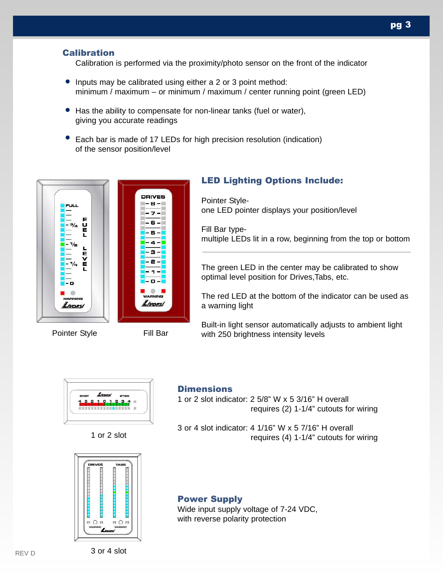## **Calibration**

Calibration is performed via the proximity/photo sensor on the front of the indicator

- Inputs may be calibrated using either a 2 or 3 point method: minimum / maximum – or minimum / maximum / center running point (green LED)
- Has the ability to compensate for non-linear tanks (fuel or water), giving you accurate readings
- Each bar is made of 17 LEDs for high precision resolution (indication) of the sensor position/level



## LED Lighting Options Include:

Pointer Styleone LED pointer displays your position/level

Fill Bar typemultiple LEDs lit in a row, beginning from the top or bottom

The green LED in the center may be calibrated to show optimal level position for Drives,Tabs, etc.

The red LED at the bottom of the indicator can be used as a warning light

Built-in light sensor automatically adjusts to ambient light Pointer Style Fill Bar with 250 brightness intensity levels







### **Dimensions**

1 or 2 slot indicator: 2 5/8" W x 5 3/16" H overall requires (2) 1-1/4" cutouts for wiring

3 or 4 slot indicator: 4 1/16" W x 5 7/16" H overall requires (4) 1-1/4" cutouts for wiring

### Power Supply

Wide input supply voltage of 7-24 VDC, with reverse polarity protection

REV D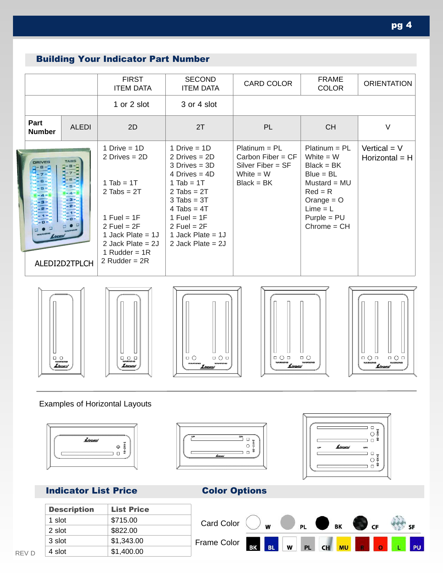# Building Your Indicator Part Number

|  |                       |                       | <b>FIRST</b><br><b>ITEM DATA</b>                                                                                                                                                               | <b>SECOND</b><br><b>ITEM DATA</b>                                                                                                                                                                                                      | CARD COLOR                                                                                   | <b>FRAME</b><br><b>COLOR</b>                                                                                                                                 | <b>ORIENTATION</b>                 |
|--|-----------------------|-----------------------|------------------------------------------------------------------------------------------------------------------------------------------------------------------------------------------------|----------------------------------------------------------------------------------------------------------------------------------------------------------------------------------------------------------------------------------------|----------------------------------------------------------------------------------------------|--------------------------------------------------------------------------------------------------------------------------------------------------------------|------------------------------------|
|  |                       |                       | 1 or 2 slot                                                                                                                                                                                    | 3 or 4 slot                                                                                                                                                                                                                            |                                                                                              |                                                                                                                                                              |                                    |
|  | Part<br><b>Number</b> | <b>ALEDI</b>          | 2D                                                                                                                                                                                             | 2T                                                                                                                                                                                                                                     | <b>PL</b>                                                                                    | <b>CH</b>                                                                                                                                                    | V                                  |
|  | <b>DRIVES</b>         | TABS<br>ALEDI2D2TPLCH | 1 Drive = $1D$<br>2 Drives $= 2D$<br>$1$ Tab = 1T<br>$2$ Tabs = $2T$<br>$1$ Fuel = $1F$<br>$2$ Fuel = $2F$<br>1 Jack Plate $= 1J$<br>2 Jack Plate = $2J$<br>1 Rudder = $1R$<br>2 Rudder = $2R$ | 1 Drive = $1D$<br>2 Drives $= 2D$<br>$3$ Drives = $3D$<br>4 Drives $=$ 4D<br>$1$ Tab = 1T<br>$2$ Tabs = $2T$<br>$3$ Tabs = $3T$<br>$4$ Tabs = $4T$<br>$1$ Fuel = $1F$<br>$2$ Fuel = $2F$<br>1 Jack Plate = $1J$<br>2 Jack Plate = $2J$ | $Platinum = PL$<br>Carbon Fiber = $CF$<br>Silver Fiber = $SF$<br>White $= W$<br>$Black = BK$ | $Platinum = PL$<br>White $= W$<br>$Black = BK$<br>$Blue = BL$<br>Mustard = $MU$<br>$Red = R$<br>Orange $=$ O<br>$Lime = L$<br>$Purple = PU$<br>$Chrome = CH$ | Vertical = $V$<br>Horizontal $=$ H |











## Examples of Horizontal Layouts



# **Indicator List Price Color Options**

| <b>Description</b> | <b>List Price</b> |  |  |
|--------------------|-------------------|--|--|
| 1 slot             | \$715.00          |  |  |
| 2 slot             | \$822.00          |  |  |
| 3 slot             | \$1,343.00        |  |  |
| 4 slot             | \$1,400.00        |  |  |
|                    |                   |  |  |





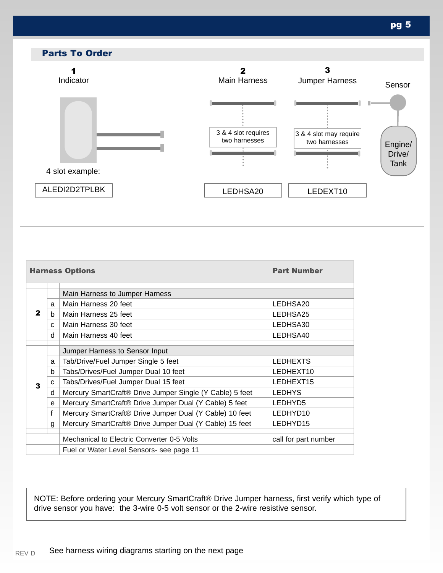

| <b>Harness Options</b> |              |                                                          | <b>Part Number</b>   |  |
|------------------------|--------------|----------------------------------------------------------|----------------------|--|
|                        |              | Main Harness to Jumper Harness                           |                      |  |
|                        | a            | Main Harness 20 feet                                     | LEDHSA20             |  |
| 2                      | h            | Main Harness 25 feet                                     | LEDHSA25             |  |
|                        | $\mathbf{C}$ | Main Harness 30 feet                                     | LEDHSA30             |  |
|                        | d            | Main Harness 40 feet                                     | LEDHSA40             |  |
|                        |              | Jumper Harness to Sensor Input                           |                      |  |
|                        | a            | Tab/Drive/Fuel Jumper Single 5 feet                      | <b>LEDHEXTS</b>      |  |
|                        | b            | Tabs/Drives/Fuel Jumper Dual 10 feet                     | LEDHEXT10            |  |
| 3                      | C            | Tabs/Drives/Fuel Jumper Dual 15 feet                     | LEDHEXT15            |  |
|                        | d            | Mercury SmartCraft® Drive Jumper Single (Y Cable) 5 feet | <b>LEDHYS</b>        |  |
|                        | e            | Mercury SmartCraft® Drive Jumper Dual (Y Cable) 5 feet   | LEDHYD5              |  |
|                        | $\mathsf{f}$ | Mercury SmartCraft® Drive Jumper Dual (Y Cable) 10 feet  | LEDHYD10             |  |
|                        | g            | Mercury SmartCraft® Drive Jumper Dual (Y Cable) 15 feet  | LEDHYD15             |  |
|                        |              | Mechanical to Electric Converter 0-5 Volts               | call for part number |  |
|                        |              | Fuel or Water Level Sensors- see page 11                 |                      |  |

NOTE: Before ordering your Mercury SmartCraft® Drive Jumper harness, first verify which type of drive sensor you have: the 3-wire 0-5 volt sensor or the 2-wire resistive sensor.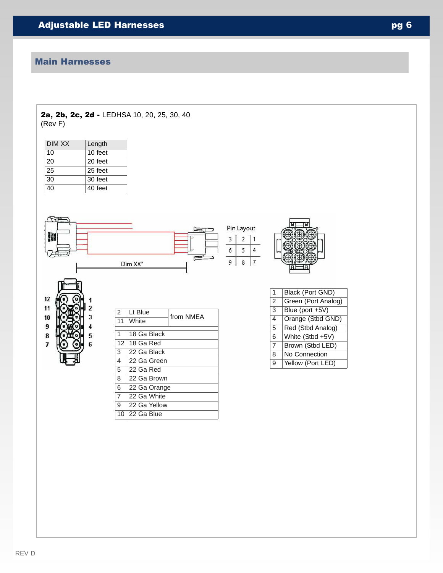## Main Harnesses

### 2a, 2b, 2c, 2d - LEDHSA 10, 20, 25, 30, 40 (Rev F)

| DIM XX | Length  |
|--------|---------|
| 10     | 10 feet |
| 20     | 20 feet |
| 25     | 25 feet |
| 30     | 30 feet |
| 40     | 40 feet |

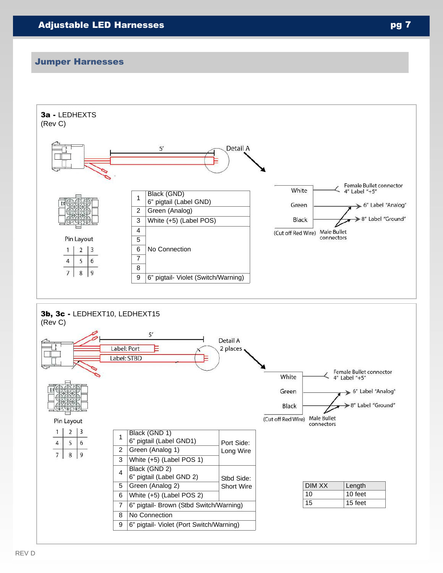### Jumper Harnesses

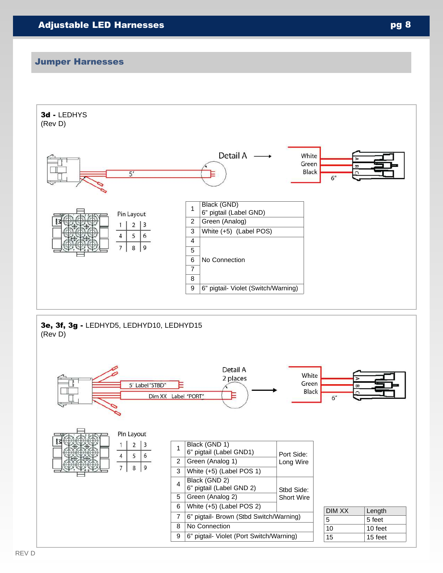### Jumper Harnesses

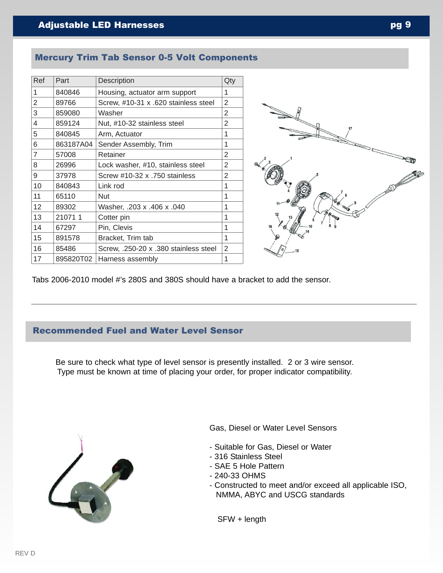## Mercury Trim Tab Sensor 0-5 Volt Components

| Ref | Part                                    | Description                           | Qty            |
|-----|-----------------------------------------|---------------------------------------|----------------|
| 1   | 840846<br>Housing, actuator arm support |                                       | 1              |
| 2   | 89766                                   | Screw, #10-31 x .620 stainless steel  | $\overline{2}$ |
| 3   | 859080                                  | Washer                                | $\overline{2}$ |
| 4   | 859124                                  | Nut, #10-32 stainless steel           | 2              |
| 5   | 840845                                  | Arm, Actuator                         | 1              |
| 6   | 863187A04                               | Sender Assembly, Trim                 | 1              |
| 7   | 57008                                   | Retainer                              | 2              |
| 8   | 26996                                   | Lock washer, #10, stainless steel     | 2              |
| 9   | 37978                                   | Screw #10-32 x .750 stainless         | 2              |
| 10  | 840843                                  | Link rod                              | 1              |
| 11  | 65110                                   | <b>Nut</b>                            | 1              |
| 12  | 89302                                   | 040. Washer, .203 x .406 x .040       | 1              |
| 13  | 210711                                  | Cotter pin                            | 1              |
| 14  | 67297                                   | Pin, Clevis                           | 1              |
| 15  | 891578                                  | Bracket, Trim tab                     | 1              |
| 16  | 85486                                   | Screw, .250-20 x .380 stainless steel | 2              |
| 17  | 895820T02                               | Harness assembly                      | 1              |
|     |                                         |                                       |                |



Tabs 2006-2010 model #'s 280S and 380S should have a bracket to add the sensor.

## Recommended Fuel and Water Level Sensor

Be sure to check what type of level sensor is presently installed. 2 or 3 wire sensor. Type must be known at time of placing your order, for proper indicator compatibility.



Gas, Diesel or Water Level Sensors

- Suitable for Gas, Diesel or Water
- 316 Stainless Steel
- SAE 5 Hole Pattern
- 240-33 OHMS
- Constructed to meet and/or exceed all applicable ISO, NMMA, ABYC and USCG standards

SFW + length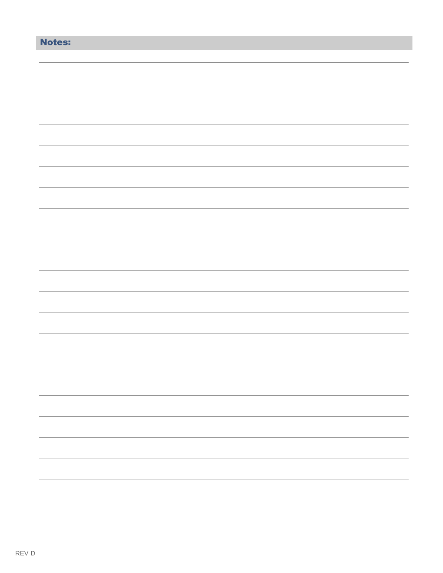| <b>Notes:</b> |  |
|---------------|--|
|               |  |
|               |  |
|               |  |
|               |  |
|               |  |
|               |  |
|               |  |
|               |  |
|               |  |
|               |  |
|               |  |
|               |  |
|               |  |
|               |  |
|               |  |
|               |  |
|               |  |
|               |  |
|               |  |
|               |  |
|               |  |
|               |  |
|               |  |
|               |  |
|               |  |
|               |  |
|               |  |
|               |  |
|               |  |
|               |  |
|               |  |